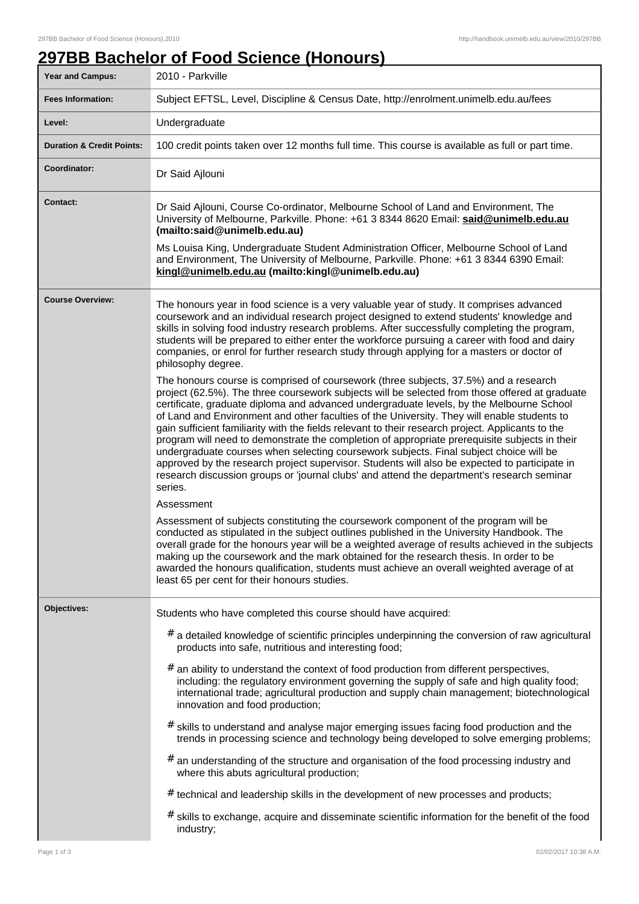## **297BB Bachelor of Food Science (Honours)**

| Year and Campus:                     | 2010 - Parkville                                                                                                                                                                                                                                                                                                                                                                                                                                                                                                                                                                                                                                                                                                                                                                                                                                                                            |
|--------------------------------------|---------------------------------------------------------------------------------------------------------------------------------------------------------------------------------------------------------------------------------------------------------------------------------------------------------------------------------------------------------------------------------------------------------------------------------------------------------------------------------------------------------------------------------------------------------------------------------------------------------------------------------------------------------------------------------------------------------------------------------------------------------------------------------------------------------------------------------------------------------------------------------------------|
| <b>Fees Information:</b>             | Subject EFTSL, Level, Discipline & Census Date, http://enrolment.unimelb.edu.au/fees                                                                                                                                                                                                                                                                                                                                                                                                                                                                                                                                                                                                                                                                                                                                                                                                        |
| Level:                               | Undergraduate                                                                                                                                                                                                                                                                                                                                                                                                                                                                                                                                                                                                                                                                                                                                                                                                                                                                               |
| <b>Duration &amp; Credit Points:</b> | 100 credit points taken over 12 months full time. This course is available as full or part time.                                                                                                                                                                                                                                                                                                                                                                                                                                                                                                                                                                                                                                                                                                                                                                                            |
| Coordinator:                         | Dr Said Ajlouni                                                                                                                                                                                                                                                                                                                                                                                                                                                                                                                                                                                                                                                                                                                                                                                                                                                                             |
| Contact:                             | Dr Said Ajlouni, Course Co-ordinator, Melbourne School of Land and Environment, The<br>University of Melbourne, Parkville. Phone: +61 3 8344 8620 Email: said@unimelb.edu.au<br>(mailto:said@unimelb.edu.au)                                                                                                                                                                                                                                                                                                                                                                                                                                                                                                                                                                                                                                                                                |
|                                      | Ms Louisa King, Undergraduate Student Administration Officer, Melbourne School of Land<br>and Environment, The University of Melbourne, Parkville. Phone: +61 3 8344 6390 Email:<br>kingl@unimelb.edu.au (mailto:kingl@unimelb.edu.au)                                                                                                                                                                                                                                                                                                                                                                                                                                                                                                                                                                                                                                                      |
| <b>Course Overview:</b>              | The honours year in food science is a very valuable year of study. It comprises advanced<br>coursework and an individual research project designed to extend students' knowledge and<br>skills in solving food industry research problems. After successfully completing the program,<br>students will be prepared to either enter the workforce pursuing a career with food and dairy<br>companies, or enrol for further research study through applying for a masters or doctor of<br>philosophy degree.                                                                                                                                                                                                                                                                                                                                                                                  |
|                                      | The honours course is comprised of coursework (three subjects, 37.5%) and a research<br>project (62.5%). The three coursework subjects will be selected from those offered at graduate<br>certificate, graduate diploma and advanced undergraduate levels, by the Melbourne School<br>of Land and Environment and other faculties of the University. They will enable students to<br>gain sufficient familiarity with the fields relevant to their research project. Applicants to the<br>program will need to demonstrate the completion of appropriate prerequisite subjects in their<br>undergraduate courses when selecting coursework subjects. Final subject choice will be<br>approved by the research project supervisor. Students will also be expected to participate in<br>research discussion groups or 'journal clubs' and attend the department's research seminar<br>series. |
|                                      | Assessment<br>Assessment of subjects constituting the coursework component of the program will be<br>conducted as stipulated in the subject outlines published in the University Handbook. The<br>overall grade for the honours year will be a weighted average of results achieved in the subjects<br>making up the coursework and the mark obtained for the research thesis. In order to be<br>awarded the honours qualification, students must achieve an overall weighted average of at<br>least 65 per cent for their honours studies.                                                                                                                                                                                                                                                                                                                                                 |
| Objectives:                          | Students who have completed this course should have acquired:<br>$#$ a detailed knowledge of scientific principles underpinning the conversion of raw agricultural<br>products into safe, nutritious and interesting food;<br>#<br>an ability to understand the context of food production from different perspectives,                                                                                                                                                                                                                                                                                                                                                                                                                                                                                                                                                                     |
|                                      | including: the regulatory environment governing the supply of safe and high quality food;<br>international trade; agricultural production and supply chain management; biotechnological<br>innovation and food production;<br>$#$ skills to understand and analyse major emerging issues facing food production and the                                                                                                                                                                                                                                                                                                                                                                                                                                                                                                                                                                     |
|                                      | trends in processing science and technology being developed to solve emerging problems;<br>$#$ an understanding of the structure and organisation of the food processing industry and                                                                                                                                                                                                                                                                                                                                                                                                                                                                                                                                                                                                                                                                                                       |
|                                      | where this abuts agricultural production;                                                                                                                                                                                                                                                                                                                                                                                                                                                                                                                                                                                                                                                                                                                                                                                                                                                   |
|                                      | # technical and leadership skills in the development of new processes and products;                                                                                                                                                                                                                                                                                                                                                                                                                                                                                                                                                                                                                                                                                                                                                                                                         |
|                                      | # skills to exchange, acquire and disseminate scientific information for the benefit of the food<br>industry;                                                                                                                                                                                                                                                                                                                                                                                                                                                                                                                                                                                                                                                                                                                                                                               |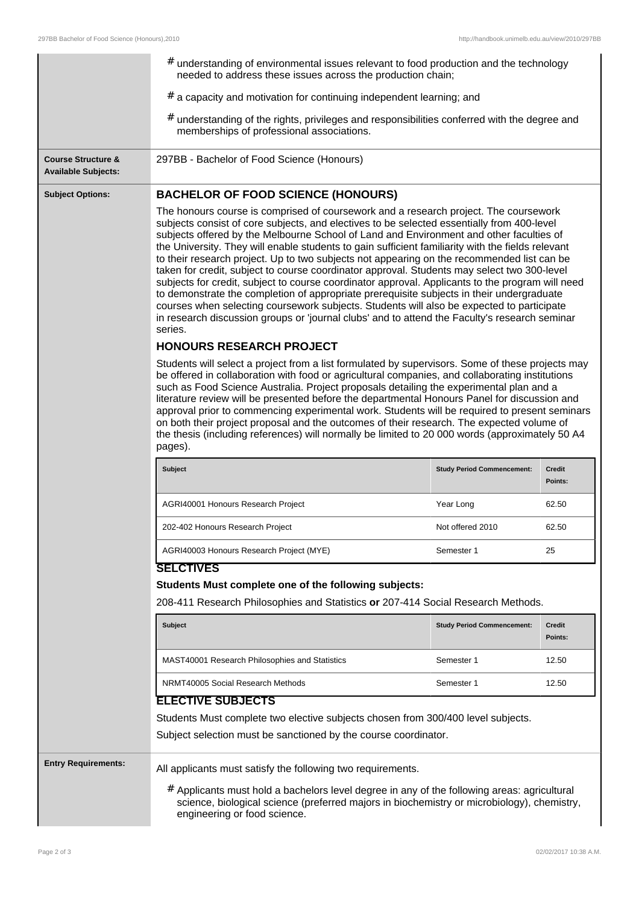|                                                             | $#$ understanding of environmental issues relevant to food production and the technology<br>needed to address these issues across the production chain;                                                                                                                                                                                                                                                                                                                                                                                                                                                                                                                                                                                                                                                                                                                                                                                                                                   |                                   |                          |  |
|-------------------------------------------------------------|-------------------------------------------------------------------------------------------------------------------------------------------------------------------------------------------------------------------------------------------------------------------------------------------------------------------------------------------------------------------------------------------------------------------------------------------------------------------------------------------------------------------------------------------------------------------------------------------------------------------------------------------------------------------------------------------------------------------------------------------------------------------------------------------------------------------------------------------------------------------------------------------------------------------------------------------------------------------------------------------|-----------------------------------|--------------------------|--|
|                                                             | $#$ a capacity and motivation for continuing independent learning; and                                                                                                                                                                                                                                                                                                                                                                                                                                                                                                                                                                                                                                                                                                                                                                                                                                                                                                                    |                                   |                          |  |
|                                                             | $#$ understanding of the rights, privileges and responsibilities conferred with the degree and<br>memberships of professional associations.                                                                                                                                                                                                                                                                                                                                                                                                                                                                                                                                                                                                                                                                                                                                                                                                                                               |                                   |                          |  |
| <b>Course Structure &amp;</b><br><b>Available Subjects:</b> | 297BB - Bachelor of Food Science (Honours)                                                                                                                                                                                                                                                                                                                                                                                                                                                                                                                                                                                                                                                                                                                                                                                                                                                                                                                                                |                                   |                          |  |
| <b>Subject Options:</b>                                     | <b>BACHELOR OF FOOD SCIENCE (HONOURS)</b>                                                                                                                                                                                                                                                                                                                                                                                                                                                                                                                                                                                                                                                                                                                                                                                                                                                                                                                                                 |                                   |                          |  |
|                                                             | The honours course is comprised of coursework and a research project. The coursework<br>subjects consist of core subjects, and electives to be selected essentially from 400-level<br>subjects offered by the Melbourne School of Land and Environment and other faculties of<br>the University. They will enable students to gain sufficient familiarity with the fields relevant<br>to their research project. Up to two subjects not appearing on the recommended list can be<br>taken for credit, subject to course coordinator approval. Students may select two 300-level<br>subjects for credit, subject to course coordinator approval. Applicants to the program will need<br>to demonstrate the completion of appropriate prerequisite subjects in their undergraduate<br>courses when selecting coursework subjects. Students will also be expected to participate<br>in research discussion groups or 'journal clubs' and to attend the Faculty's research seminar<br>series. |                                   |                          |  |
|                                                             | <b>HONOURS RESEARCH PROJECT</b>                                                                                                                                                                                                                                                                                                                                                                                                                                                                                                                                                                                                                                                                                                                                                                                                                                                                                                                                                           |                                   |                          |  |
|                                                             | Students will select a project from a list formulated by supervisors. Some of these projects may<br>be offered in collaboration with food or agricultural companies, and collaborating institutions<br>such as Food Science Australia. Project proposals detailing the experimental plan and a<br>literature review will be presented before the departmental Honours Panel for discussion and<br>approval prior to commencing experimental work. Students will be required to present seminars<br>on both their project proposal and the outcomes of their research. The expected volume of<br>the thesis (including references) will normally be limited to 20 000 words (approximately 50 A4<br>pages).                                                                                                                                                                                                                                                                                |                                   |                          |  |
|                                                             | Subject                                                                                                                                                                                                                                                                                                                                                                                                                                                                                                                                                                                                                                                                                                                                                                                                                                                                                                                                                                                   | <b>Study Period Commencement:</b> | <b>Credit</b><br>Points: |  |
|                                                             | AGRI40001 Honours Research Project                                                                                                                                                                                                                                                                                                                                                                                                                                                                                                                                                                                                                                                                                                                                                                                                                                                                                                                                                        | Year Long                         | 62.50                    |  |
|                                                             | 202-402 Honours Research Project                                                                                                                                                                                                                                                                                                                                                                                                                                                                                                                                                                                                                                                                                                                                                                                                                                                                                                                                                          | Not offered 2010                  | 62.50                    |  |
|                                                             | AGRI40003 Honours Research Project (MYE)                                                                                                                                                                                                                                                                                                                                                                                                                                                                                                                                                                                                                                                                                                                                                                                                                                                                                                                                                  | Semester 1                        | 25                       |  |
|                                                             | <b>SELCTIVES</b>                                                                                                                                                                                                                                                                                                                                                                                                                                                                                                                                                                                                                                                                                                                                                                                                                                                                                                                                                                          |                                   |                          |  |
|                                                             | Students Must complete one of the following subjects:                                                                                                                                                                                                                                                                                                                                                                                                                                                                                                                                                                                                                                                                                                                                                                                                                                                                                                                                     |                                   |                          |  |
|                                                             | 208-411 Research Philosophies and Statistics or 207-414 Social Research Methods.                                                                                                                                                                                                                                                                                                                                                                                                                                                                                                                                                                                                                                                                                                                                                                                                                                                                                                          |                                   |                          |  |
|                                                             | <b>Subject</b>                                                                                                                                                                                                                                                                                                                                                                                                                                                                                                                                                                                                                                                                                                                                                                                                                                                                                                                                                                            | <b>Study Period Commencement:</b> | Credit<br>Points:        |  |
|                                                             | MAST40001 Research Philosophies and Statistics                                                                                                                                                                                                                                                                                                                                                                                                                                                                                                                                                                                                                                                                                                                                                                                                                                                                                                                                            | Semester 1                        | 12.50                    |  |
|                                                             | NRMT40005 Social Research Methods                                                                                                                                                                                                                                                                                                                                                                                                                                                                                                                                                                                                                                                                                                                                                                                                                                                                                                                                                         | Semester 1                        | 12.50                    |  |
|                                                             | <b>ELECTIVE SUBJECTS</b>                                                                                                                                                                                                                                                                                                                                                                                                                                                                                                                                                                                                                                                                                                                                                                                                                                                                                                                                                                  |                                   |                          |  |
|                                                             | Students Must complete two elective subjects chosen from 300/400 level subjects.<br>Subject selection must be sanctioned by the course coordinator.                                                                                                                                                                                                                                                                                                                                                                                                                                                                                                                                                                                                                                                                                                                                                                                                                                       |                                   |                          |  |
| <b>Entry Requirements:</b>                                  | All applicants must satisfy the following two requirements.                                                                                                                                                                                                                                                                                                                                                                                                                                                                                                                                                                                                                                                                                                                                                                                                                                                                                                                               |                                   |                          |  |
|                                                             | # Applicants must hold a bachelors level degree in any of the following areas: agricultural<br>science, biological science (preferred majors in biochemistry or microbiology), chemistry,<br>engineering or food science.                                                                                                                                                                                                                                                                                                                                                                                                                                                                                                                                                                                                                                                                                                                                                                 |                                   |                          |  |